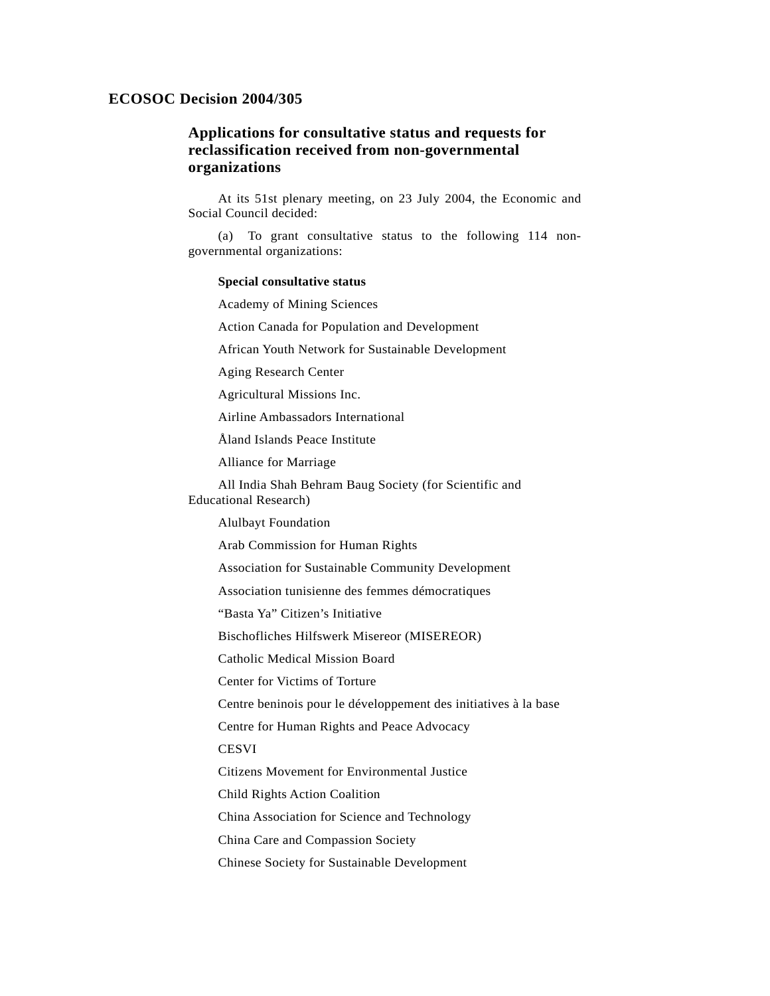## **ECOSOC Decision 2004/305**

## **Applications for consultative status and requests for reclassification received from non-governmental organizations**

 At its 51st plenary meeting, on 23 July 2004, the Economic and Social Council decided:

 (a) To grant consultative status to the following 114 nongovernmental organizations:

## **Special consultative status**

Academy of Mining Sciences

Action Canada for Population and Development

African Youth Network for Sustainable Development

Aging Research Center

Agricultural Missions Inc.

Airline Ambassadors International

Åland Islands Peace Institute

Alliance for Marriage

 All India Shah Behram Baug Society (for Scientific and Educational Research)

Alulbayt Foundation

Arab Commission for Human Rights

Association for Sustainable Community Development

Association tunisienne des femmes démocratiques

"Basta Ya" Citizen's Initiative

Bischofliches Hilfswerk Misereor (MISEREOR)

Catholic Medical Mission Board

Center for Victims of Torture

Centre beninois pour le développement des initiatives à la base

Centre for Human Rights and Peace Advocacy

**CESVI** 

Citizens Movement for Environmental Justice

Child Rights Action Coalition

China Association for Science and Technology

China Care and Compassion Society

Chinese Society for Sustainable Development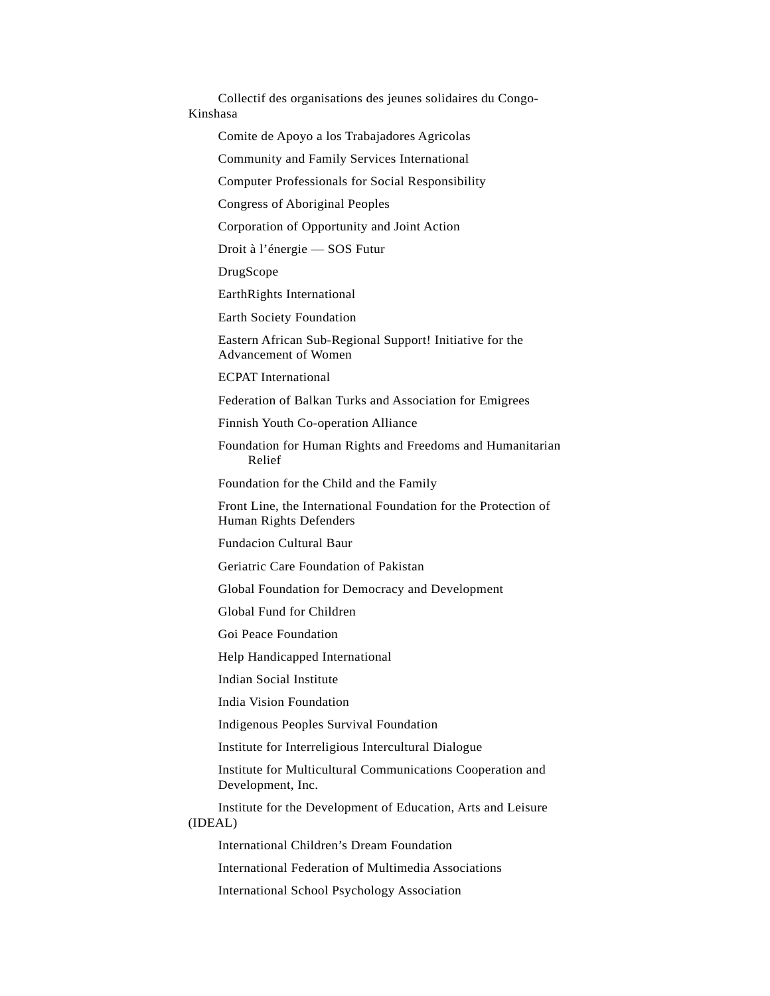Collectif des organisations des jeunes solidaires du Congo-Kinshasa Comite de Apoyo a los Trabajadores Agricolas Community and Family Services International Computer Professionals for Social Responsibility Congress of Aboriginal Peoples Corporation of Opportunity and Joint Action Droit à l'énergie — SOS Futur DrugScope EarthRights International Earth Society Foundation Eastern African Sub-Regional Support! Initiative for the Advancement of Women ECPAT International Federation of Balkan Turks and Association for Emigrees Finnish Youth Co-operation Alliance Foundation for Human Rights and Freedoms and Humanitarian Relief Foundation for the Child and the Family Front Line, the International Foundation for the Protection of Human Rights Defenders Fundacion Cultural Baur Geriatric Care Foundation of Pakistan Global Foundation for Democracy and Development Global Fund for Children Goi Peace Foundation Help Handicapped International Indian Social Institute India Vision Foundation Indigenous Peoples Survival Foundation Institute for Interreligious Intercultural Dialogue Institute for Multicultural Communications Cooperation and Development, Inc. Institute for the Development of Education, Arts and Leisure (IDEAL) International Children's Dream Foundation International Federation of Multimedia Associations International School Psychology Association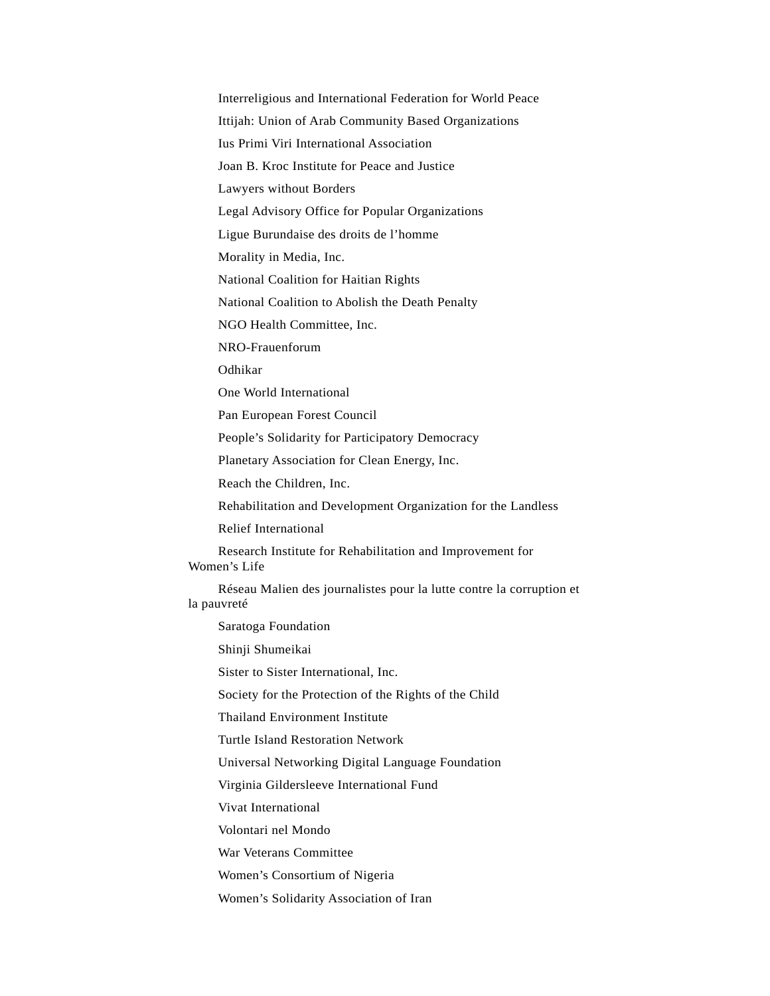Interreligious and International Federation for World Peace Ittijah: Union of Arab Community Based Organizations Ius Primi Viri International Association Joan B. Kroc Institute for Peace and Justice Lawyers without Borders Legal Advisory Office for Popular Organizations Ligue Burundaise des droits de l'homme Morality in Media, Inc. National Coalition for Haitian Rights National Coalition to Abolish the Death Penalty NGO Health Committee, Inc. NRO-Frauenforum Odhikar One World International Pan European Forest Council People's Solidarity for Participatory Democracy Planetary Association for Clean Energy, Inc. Reach the Children, Inc. Rehabilitation and Development Organization for the Landless Relief International Research Institute for Rehabilitation and Improvement for Women's Life Réseau Malien des journalistes pour la lutte contre la corruption et la pauvreté Saratoga Foundation Shinji Shumeikai Sister to Sister International, Inc. Society for the Protection of the Rights of the Child Thailand Environment Institute Turtle Island Restoration Network Universal Networking Digital Language Foundation Virginia Gildersleeve International Fund Vivat International Volontari nel Mondo War Veterans Committee Women's Consortium of Nigeria Women's Solidarity Association of Iran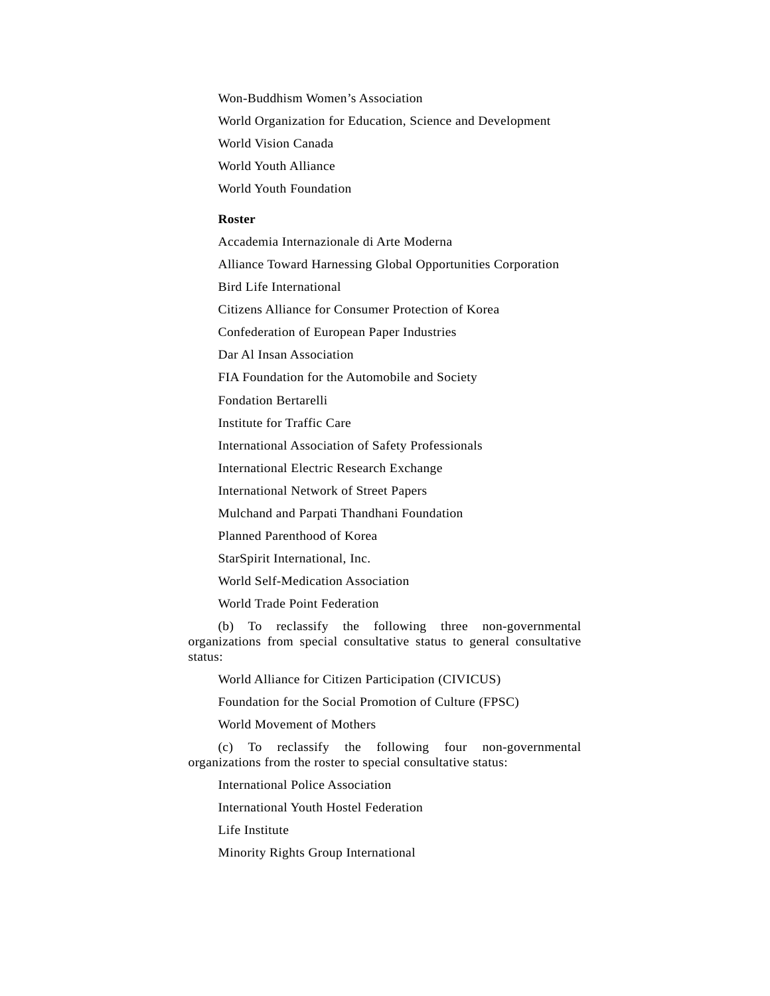Won-Buddhism Women's Association World Organization for Education, Science and Development World Vision Canada World Youth Alliance World Youth Foundation

## **Roster**

Accademia Internazionale di Arte Moderna

Alliance Toward Harnessing Global Opportunities Corporation

Bird Life International

Citizens Alliance for Consumer Protection of Korea

Confederation of European Paper Industries

Dar Al Insan Association

FIA Foundation for the Automobile and Society

Fondation Bertarelli

Institute for Traffic Care

International Association of Safety Professionals

International Electric Research Exchange

International Network of Street Papers

Mulchand and Parpati Thandhani Foundation

Planned Parenthood of Korea

StarSpirit International, Inc.

World Self-Medication Association

World Trade Point Federation

 (b) To reclassify the following three non-governmental organizations from special consultative status to general consultative status:

World Alliance for Citizen Participation (CIVICUS)

Foundation for the Social Promotion of Culture (FPSC)

World Movement of Mothers

 (c) To reclassify the following four non-governmental organizations from the roster to special consultative status:

International Police Association

International Youth Hostel Federation

Life Institute

Minority Rights Group International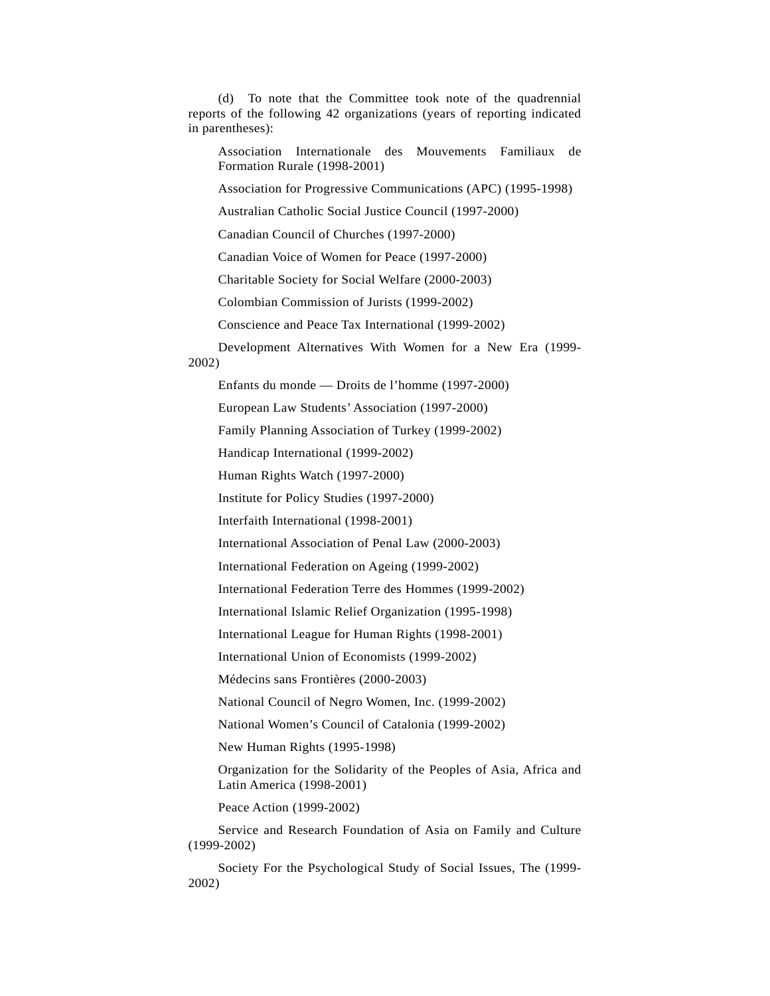(d) To note that the Committee took note of the quadrennial reports of the following 42 organizations (years of reporting indicated in parentheses):

 Association Internationale des Mouvements Familiaux de Formation Rurale (1998-2001)

Association for Progressive Communications (APC) (1995-1998)

Australian Catholic Social Justice Council (1997-2000)

Canadian Council of Churches (1997-2000)

Canadian Voice of Women for Peace (1997-2000)

Charitable Society for Social Welfare (2000-2003)

Colombian Commission of Jurists (1999-2002)

Conscience and Peace Tax International (1999-2002)

Development Alternatives With Women for a New Era (1999-

2002)

Enfants du monde — Droits de l'homme (1997-2000)

European Law Students' Association (1997-2000)

Family Planning Association of Turkey (1999-2002)

Handicap International (1999-2002)

Human Rights Watch (1997-2000)

Institute for Policy Studies (1997-2000)

Interfaith International (1998-2001)

International Association of Penal Law (2000-2003)

International Federation on Ageing (1999-2002)

International Federation Terre des Hommes (1999-2002)

International Islamic Relief Organization (1995-1998)

International League for Human Rights (1998-2001)

International Union of Economists (1999-2002)

Médecins sans Frontières (2000-2003)

National Council of Negro Women, Inc. (1999-2002)

National Women's Council of Catalonia (1999-2002)

New Human Rights (1995-1998)

 Organization for the Solidarity of the Peoples of Asia, Africa and Latin America (1998-2001)

Peace Action (1999-2002)

 Service and Research Foundation of Asia on Family and Culture (1999-2002)

 Society For the Psychological Study of Social Issues, The (1999- 2002)